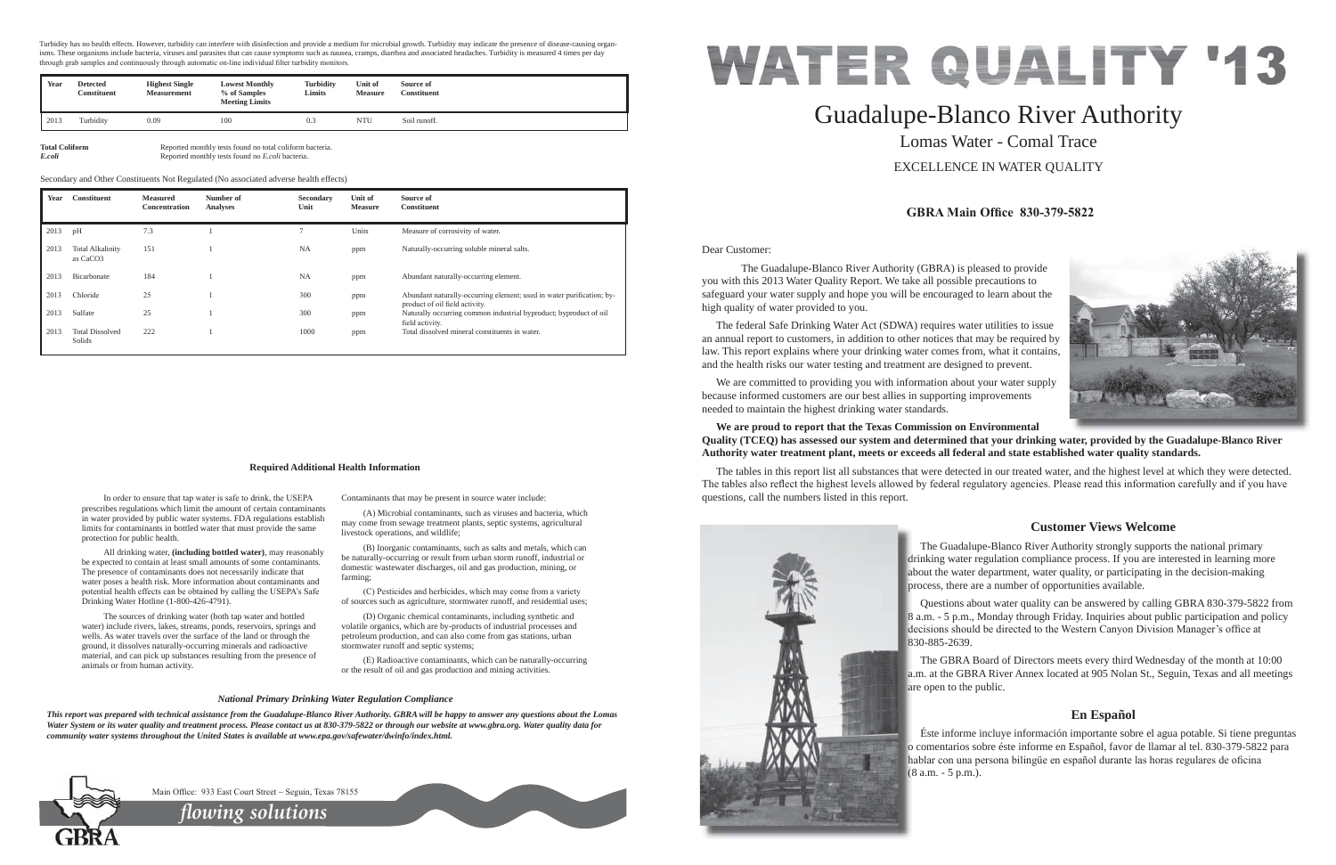Dear Customer:

 The Guadalupe-Blanco River Authority (GBRA) is pleased to provide you with this 2013 Water Quality Report. We take all possible precautions to safeguard your water supply and hope you will be encouraged to learn about the high quality of water provided to you.

 The federal Safe Drinking Water Act (SDWA) requires water utilities to issue an annual report to customers, in addition to other notices that may be required by law. This report explains where your drinking water comes from, what it contains, and the health risks our water testing and treatment are designed to prevent.

 We are committed to providing you with information about your water supply because informed customers are our best allies in supporting improvements needed to maintain the highest drinking water standards.

### **We are proud to report that the Texas Commission on Environmental Quality (TCEQ) has assessed our system and determined that your drinking water, provided by the Guadalupe-Blanco River Authority water treatment plant, meets or exceeds all federal and state established water quality standards.**

The tables in this report list all substances that were detected in our treated water, and the highest level at which they were detected. The tables also reflect the highest levels allowed by federal regulatory agencies. Please read this information carefully and if you have questions, call the numbers listed in this report.



In order to ensure that tap water is safe to drink, the USEPA prescribes regulations which limit the amount of certain contaminants in water provided by public water systems. FDA regulations establish limits for contaminants in bottled water that must provide the same

 All drinking water, **(including bottled water)**, may reasonably be expected to contain at least small amounts of some contaminants. The presence of contaminants does not necessarily indicate that water poses a health risk. More information about contaminants and potential health effects can be obtained by calling the USEPA's Safe

# Guadalupe-Blanco River Authority Lomas Water - Comal Trace EXCELLENCE IN WATER QUALITY

# **Customer Views Welcome**

(C) Pesticides and herbicides, which may come from a variety of sources such as agriculture, stormwater runoff, and residential uses;

# **En Español**

**Total Coliform** Reported monthly tests found no total coliform bacteria.<br>
Reported monthly tests found no *E.coli* bacteria. *E.coli* Reported monthly tests found no *E.coli* bacteria.

protection for public health.

Drinking Water Hotline (1-800-426-4791).

 The Guadalupe-Blanco River Authority strongly supports the national primary drinking water regulation compliance process. If you are interested in learning more d about the water department, water quality, or participating in the decision-making a process, there are a number of opportunities available. p

 The sources of drinking water (both tap water and bottled water) include rivers, lakes, streams, ponds, reservoirs, springs and wells. As water travels over the surface of the land or through the ground, it dissolves naturally-occurring minerals and radioactive material, and can pick up substances resulting from the presence of

 Questions about water quality can be answered by calling GBRA 830-379-5822 from 8 a.m. - 5 p.m., Monday through Friday. Inquiries about public participation and policy 8 decisions should be directed to the Western Canyon Division Manager's office at 830-885-2639. 8

 The GBRA Board of Directors meets every third Wednesday of the month at 10:00 a.m. at the GBRA River Annex located at 905 Nolan St., Seguin, Texas and all meetings a are open to the public. a

animals or from human activity.

Contaminants that may be present in source water include:

 Éste informe incluye información importante sobre el agua potable. Si tiene preguntas o comentarios sobre éste informe en Español, favor de llamar al tel. 830-379-5822 para o hablar con una persona bilingüe en español durante las horas regulares de oficina (8 a.m. - 5 p.m.). (



# **GBRA Main Office 830-379-5822**



 (A) Microbial contaminants, such as viruses and bacteria, which may come from sewage treatment plants, septic systems, agricultural livestock operations, and wildlife;

 (B) Inorganic contaminants, such as salts and metals, which can be naturally-occurring or result from urban storm runoff, industrial or domestic wastewater discharges, oil and gas production, mining, or farming;

 (D) Organic chemical contaminants, including synthetic and volatile organics, which are by-products of industrial processes and petroleum production, and can also come from gas stations, urban stormwater runoff and septic systems;

 (E) Radioactive contaminants, which can be naturally-occurring or the result of oil and gas production and mining activities.

#### **Required Additional Health Information**

#### *National Primary Drinking Water Regulation Compliance*

*This report was prepared with technical assistance from the Guadalupe-Blanco River Authority. GBRA will be happy to answer any questions about the Lomas Water System or its water quality and treatment process. Please contact us at 830-379-5822 or through our website at www.gbra.org. Water quality data for community water systems throughout the United States is available at www.epa.gov/safewater/dwinfo/index.html.*



Main Office: 933 East Court Street  $\sim$  Seguin, Texas 78155

| Year | <b>Constituent</b>                              | <b>Measured</b><br>Concentration | Number of<br><b>Analyses</b> | Secondary<br>Unit | Unit of<br><b>Measure</b> | Source of<br><b>Constituent</b>                                                                         |
|------|-------------------------------------------------|----------------------------------|------------------------------|-------------------|---------------------------|---------------------------------------------------------------------------------------------------------|
| 2013 | pH                                              | 7.3                              |                              | 7                 | Units                     | Measure of corrosivity of water.                                                                        |
| 2013 | <b>Total Alkalinity</b><br>as CaCO <sub>3</sub> | 151                              |                              | <b>NA</b>         | ppm                       | Naturally-occurring soluble mineral salts.                                                              |
| 2013 | Bicarbonate                                     | 184                              |                              | <b>NA</b>         | ppm                       | Abundant naturally-occurring element.                                                                   |
| 2013 | Chloride                                        | 25                               |                              | 300               | ppm                       | Abundant naturally-occurring element; used in water purification; by-<br>product of oil field activity. |
| 2013 | Sulfate                                         | 25                               |                              | 300               | ppm                       | Naturally occurring common industrial byproduct; byproduct of oil<br>field activity.                    |
| 2013 | <b>Total Dissolved</b><br>Solids                | 222                              |                              | 1000              | ppm                       | Total dissolved mineral constituents in water.                                                          |

Secondary and Other Constituents Not Regulated (No associated adverse health effects)

*flowing solutions*

Turbidity has no health effects. However, turbidity can interfere with disinfection and provide a medium for microbial growth. Turbidity may indicate the presence of disease-causing organisms. These organisms include bacteria, viruses and parasites that can cause symptoms such as nausea, cramps, diarrhea and associated headaches. Turbidity is measured 4 times per day through grab samples and continuously through automatic on-line individual filter turbidity monitors

| Year | <b>Detected</b><br><b>Constituent</b> | <b>Highest Single</b><br><b>Measurement</b> | <b>Lowest Monthly</b><br>% of Samples<br><b>Meeting Limits</b> | <b>Turbidity</b><br>Limits | Unit of<br>Measure | Source of<br><b>Constituent</b> |
|------|---------------------------------------|---------------------------------------------|----------------------------------------------------------------|----------------------------|--------------------|---------------------------------|
| 2013 | Turbidity                             | 0.09                                        | 100                                                            | 0.3                        | <b>NTU</b>         | Soil runoff.                    |